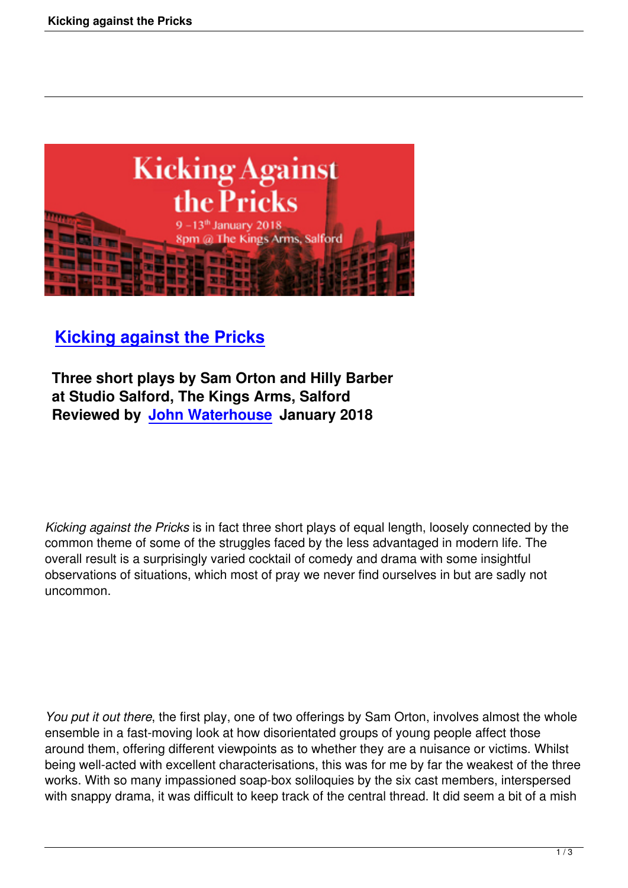

## **Kicking against the Pricks**

 **Three short plays by Sam Orton and Hilly Barber [at Studio Salford, The Kings Ar](kicking-against-the-pricks.html)ms, Salford Reviewed by John Waterhouse January 2018**

*Kicking against the Pricks* is in fact three short plays of equal length, loosely connected by the common theme of some of the struggles faced by the less advantaged in modern life. The overall result is a surprisingly varied cocktail of comedy and drama with some insightful observations of situations, which most of pray we never find ourselves in but are sadly not uncommon.

*You put it out there*, the first play, one of two offerings by Sam Orton, involves almost the whole ensemble in a fast-moving look at how disorientated groups of young people affect those around them, offering different viewpoints as to whether they are a nuisance or victims. Whilst being well-acted with excellent characterisations, this was for me by far the weakest of the three works. With so many impassioned soap-box soliloquies by the six cast members, interspersed with snappy drama, it was difficult to keep track of the central thread. It did seem a bit of a mish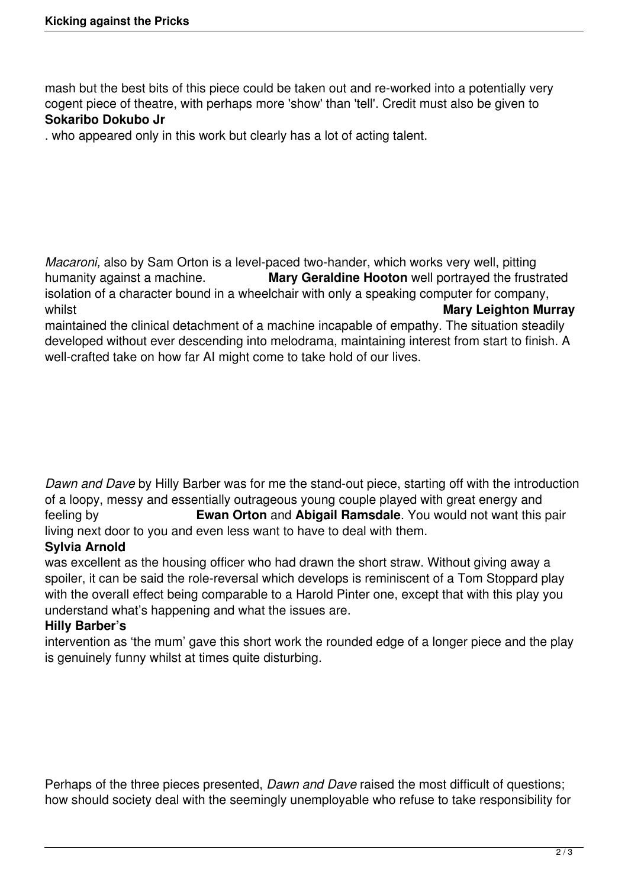mash but the best bits of this piece could be taken out and re-worked into a potentially very cogent piece of theatre, with perhaps more 'show' than 'tell'. Credit must also be given to **Sokaribo Dokubo Jr**

. who appeared only in this work but clearly has a lot of acting talent.

*Macaroni,* also by Sam Orton is a level-paced two-hander, which works very well, pitting humanity against a machine. **Mary Geraldine Hooton** well portrayed the frustrated isolation of a character bound in a wheelchair with only a speaking computer for company, whilst **Mary Leighton Murray** 

maintained the clinical detachment of a machine incapable of empathy. The situation steadily developed without ever descending into melodrama, maintaining interest from start to finish. A well-crafted take on how far AI might come to take hold of our lives.

*Dawn and Dave* by Hilly Barber was for me the stand-out piece, starting off with the introduction of a loopy, messy and essentially outrageous young couple played with great energy and feeling by **Ewan Orton** and **Abigail Ramsdale**. You would not want this pair living next door to you and even less want to have to deal with them.

## **Sylvia Arnold**

was excellent as the housing officer who had drawn the short straw. Without giving away a spoiler, it can be said the role-reversal which develops is reminiscent of a Tom Stoppard play with the overall effect being comparable to a Harold Pinter one, except that with this play you understand what's happening and what the issues are.

## **Hilly Barber's**

intervention as 'the mum' gave this short work the rounded edge of a longer piece and the play is genuinely funny whilst at times quite disturbing.

Perhaps of the three pieces presented, *Dawn and Dave* raised the most difficult of questions; how should society deal with the seemingly unemployable who refuse to take responsibility for